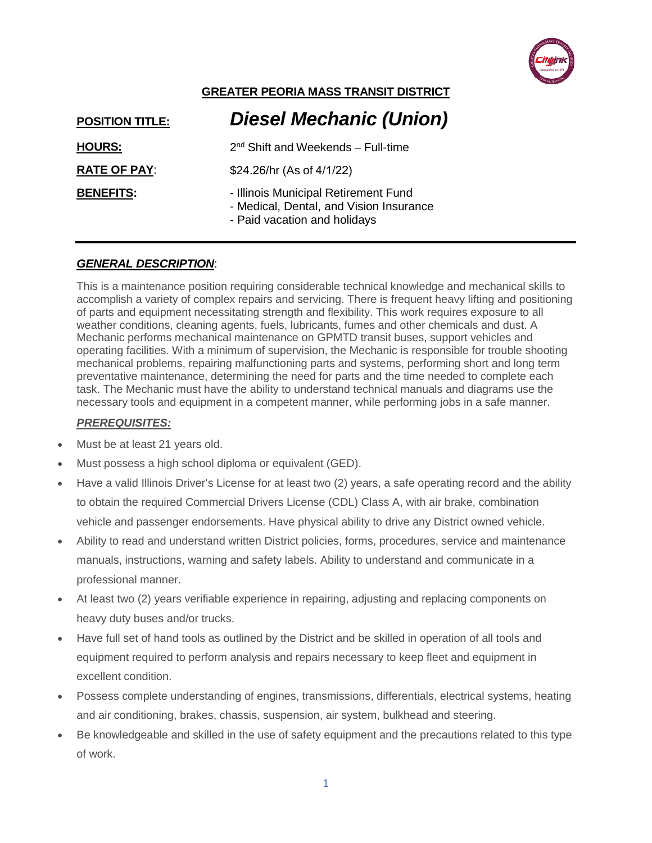

# **GREATER PEORIA MASS TRANSIT DISTRICT**

| <b>POSITION TITLE:</b> | <b>Diesel Mechanic (Union)</b>                                                                                  |
|------------------------|-----------------------------------------------------------------------------------------------------------------|
| <b>HOURS:</b>          | $2nd$ Shift and Weekends – Full-time                                                                            |
| <b>RATE OF PAY:</b>    | \$24.26/hr (As of 4/1/22)                                                                                       |
| <b>BENEFITS:</b>       | - Illinois Municipal Retirement Fund<br>- Medical, Dental, and Vision Insurance<br>- Paid vacation and holidays |

### *GENERAL DESCRIPTION*:

This is a maintenance position requiring considerable technical knowledge and mechanical skills to accomplish a variety of complex repairs and servicing. There is frequent heavy lifting and positioning of parts and equipment necessitating strength and flexibility. This work requires exposure to all weather conditions, cleaning agents, fuels, lubricants, fumes and other chemicals and dust. A Mechanic performs mechanical maintenance on GPMTD transit buses, support vehicles and operating facilities. With a minimum of supervision, the Mechanic is responsible for trouble shooting mechanical problems, repairing malfunctioning parts and systems, performing short and long term preventative maintenance, determining the need for parts and the time needed to complete each task. The Mechanic must have the ability to understand technical manuals and diagrams use the necessary tools and equipment in a competent manner, while performing jobs in a safe manner.

#### *PREREQUISITES:*

- Must be at least 21 years old.
- Must possess a high school diploma or equivalent (GED).
- Have a valid Illinois Driver's License for at least two (2) years, a safe operating record and the ability to obtain the required Commercial Drivers License (CDL) Class A, with air brake, combination vehicle and passenger endorsements. Have physical ability to drive any District owned vehicle.
- Ability to read and understand written District policies, forms, procedures, service and maintenance manuals, instructions, warning and safety labels. Ability to understand and communicate in a professional manner.
- At least two (2) years verifiable experience in repairing, adjusting and replacing components on heavy duty buses and/or trucks.
- Have full set of hand tools as outlined by the District and be skilled in operation of all tools and equipment required to perform analysis and repairs necessary to keep fleet and equipment in excellent condition.
- Possess complete understanding of engines, transmissions, differentials, electrical systems, heating and air conditioning, brakes, chassis, suspension, air system, bulkhead and steering.
- Be knowledgeable and skilled in the use of safety equipment and the precautions related to this type of work.